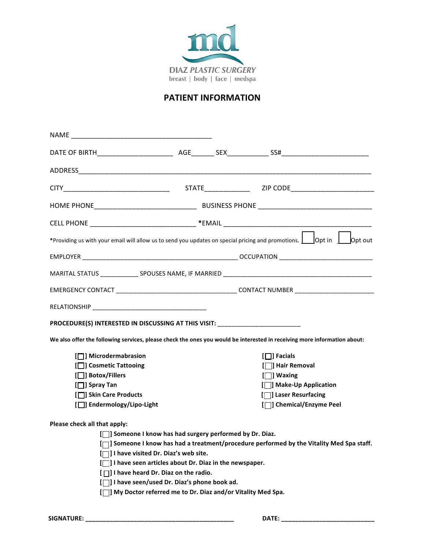

## **PATIENT INFORMATION**

| PROCEDURE(S) INTERESTED IN DISCUSSING AT THIS VISIT: ___________________________                                         |  |                                                                                           |
|--------------------------------------------------------------------------------------------------------------------------|--|-------------------------------------------------------------------------------------------|
|                                                                                                                          |  |                                                                                           |
| We also offer the following services, please check the ones you would be interested in receiving more information about: |  |                                                                                           |
| [ $\Box$ ] Microdermabrasion                                                                                             |  | $[\Box]$ Facials                                                                          |
| [□] Cosmetic Tattooing                                                                                                   |  | [□] Hair Removal                                                                          |
| [□] Botox/Fillers                                                                                                        |  | $[\Box]$ Waxing                                                                           |
| $[\Box]$ Spray Tan                                                                                                       |  | [□] Make-Up Application                                                                   |
| [□] Skin Care Products                                                                                                   |  | [□] Laser Resurfacing                                                                     |
| [ $\Box$ ] Endermology/Lipo-Light                                                                                        |  | [ $\Box$ ] Chemical/Enzyme Peel                                                           |
|                                                                                                                          |  |                                                                                           |
| Please check all that apply:                                                                                             |  |                                                                                           |
| [7] Someone I know has had surgery performed by Dr. Diaz.                                                                |  |                                                                                           |
|                                                                                                                          |  |                                                                                           |
| [□] I have visited Dr. Diaz's web site.                                                                                  |  |                                                                                           |
| [7] I have seen articles about Dr. Diaz in the newspaper.                                                                |  |                                                                                           |
| [ $\Box$ I have heard Dr. Diaz on the radio.<br>[         have seen/used Dr. Diaz's phone book ad.                       |  | [7] Someone I know has had a treatment/procedure performed by the Vitality Med Spa staff. |